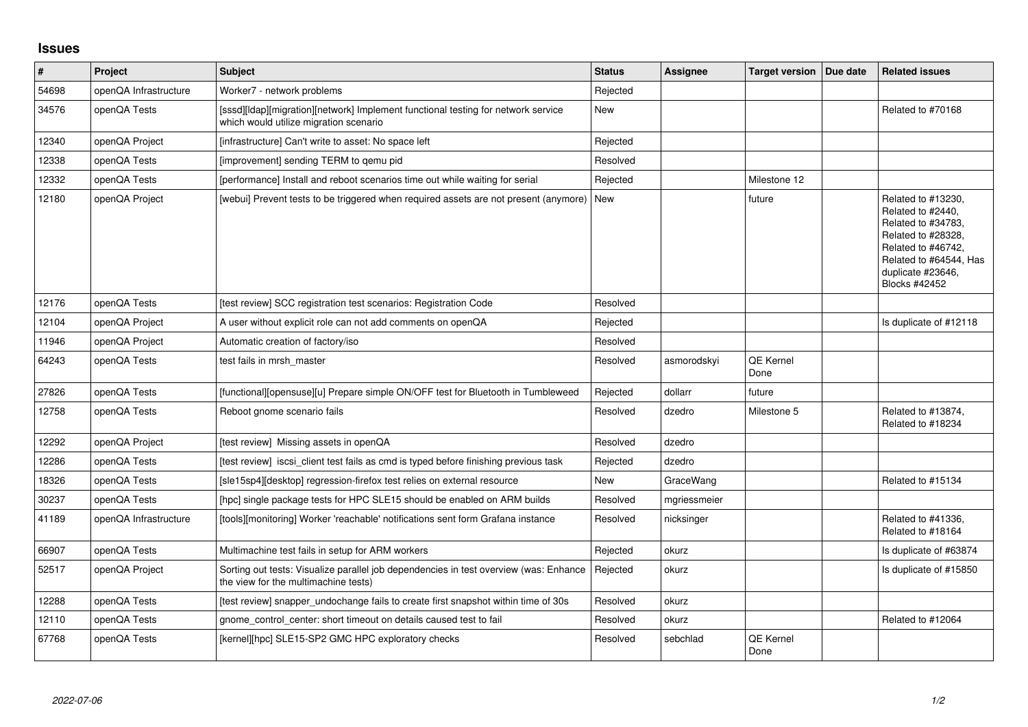## **Issues**

| $\vert$ # | Project               | <b>Subject</b>                                                                                                                | <b>Status</b> | <b>Assignee</b> | <b>Target version</b>    | Due date | <b>Related issues</b>                                                                                                                                                     |
|-----------|-----------------------|-------------------------------------------------------------------------------------------------------------------------------|---------------|-----------------|--------------------------|----------|---------------------------------------------------------------------------------------------------------------------------------------------------------------------------|
| 54698     | openQA Infrastructure | Worker7 - network problems                                                                                                    | Rejected      |                 |                          |          |                                                                                                                                                                           |
| 34576     | openQA Tests          | [sssd][Idap][migration][network] Implement functional testing for network service<br>which would utilize migration scenario   | New           |                 |                          |          | Related to #70168                                                                                                                                                         |
| 12340     | openQA Project        | [infrastructure] Can't write to asset: No space left                                                                          | Rejected      |                 |                          |          |                                                                                                                                                                           |
| 12338     | openQA Tests          | [improvement] sending TERM to gemu pid                                                                                        | Resolved      |                 |                          |          |                                                                                                                                                                           |
| 12332     | openQA Tests          | [performance] Install and reboot scenarios time out while waiting for serial                                                  | Rejected      |                 | Milestone 12             |          |                                                                                                                                                                           |
| 12180     | openQA Project        | [webui] Prevent tests to be triggered when required assets are not present (anymore)                                          | <b>New</b>    |                 | future                   |          | Related to #13230,<br>Related to #2440,<br>Related to #34783,<br>Related to #28328,<br>Related to #46742,<br>Related to #64544, Has<br>duplicate #23646,<br>Blocks #42452 |
| 12176     | openQA Tests          | [test review] SCC registration test scenarios: Registration Code                                                              | Resolved      |                 |                          |          |                                                                                                                                                                           |
| 12104     | openQA Project        | A user without explicit role can not add comments on openQA                                                                   | Rejected      |                 |                          |          | Is duplicate of #12118                                                                                                                                                    |
| 11946     | openQA Project        | Automatic creation of factory/iso                                                                                             | Resolved      |                 |                          |          |                                                                                                                                                                           |
| 64243     | openQA Tests          | test fails in mrsh master                                                                                                     | Resolved      | asmorodskvi     | <b>QE Kernel</b><br>Done |          |                                                                                                                                                                           |
| 27826     | openQA Tests          | [functional][opensuse][u] Prepare simple ON/OFF test for Bluetooth in Tumbleweed                                              | Rejected      | dollarr         | future                   |          |                                                                                                                                                                           |
| 12758     | openQA Tests          | Reboot gnome scenario fails                                                                                                   | Resolved      | dzedro          | Milestone 5              |          | Related to #13874,<br>Related to #18234                                                                                                                                   |
| 12292     | openQA Project        | [test review] Missing assets in openQA                                                                                        | Resolved      | dzedro          |                          |          |                                                                                                                                                                           |
| 12286     | openQA Tests          | [test review] iscsi_client test fails as cmd is typed before finishing previous task                                          | Rejected      | dzedro          |                          |          |                                                                                                                                                                           |
| 18326     | openQA Tests          | [sle15sp4][desktop] regression-firefox test relies on external resource                                                       | <b>New</b>    | GraceWang       |                          |          | Related to #15134                                                                                                                                                         |
| 30237     | openQA Tests          | [hpc] single package tests for HPC SLE15 should be enabled on ARM builds                                                      | Resolved      | mgriessmeier    |                          |          |                                                                                                                                                                           |
| 41189     | openQA Infrastructure | [tools][monitoring] Worker 'reachable' notifications sent form Grafana instance                                               | Resolved      | nicksinger      |                          |          | Related to #41336,<br>Related to #18164                                                                                                                                   |
| 66907     | openQA Tests          | Multimachine test fails in setup for ARM workers                                                                              | Rejected      | okurz           |                          |          | Is duplicate of #63874                                                                                                                                                    |
| 52517     | openQA Project        | Sorting out tests: Visualize parallel job dependencies in test overview (was: Enhance<br>the view for the multimachine tests) | Rejected      | okurz           |                          |          | Is duplicate of #15850                                                                                                                                                    |
| 12288     | openQA Tests          | [test review] snapper_undochange fails to create first snapshot within time of 30s                                            | Resolved      | okurz           |                          |          |                                                                                                                                                                           |
| 12110     | openQA Tests          | gnome control center: short timeout on details caused test to fail                                                            | Resolved      | okurz           |                          |          | Related to #12064                                                                                                                                                         |
| 67768     | openQA Tests          | [kernel][hpc] SLE15-SP2 GMC HPC exploratory checks                                                                            | Resolved      | sebchlad        | QE Kernel<br>Done        |          |                                                                                                                                                                           |